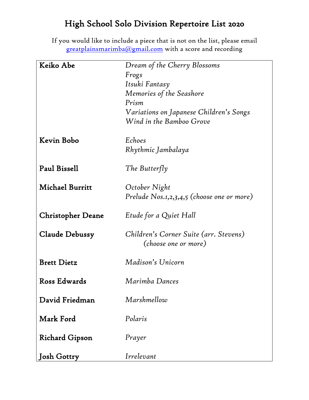## High School Solo Division Repertoire List 2020

If you would like to include a piece that is not on the list, please email [greatplainsmarimba@gmail.com](mailto:greatplainsmarimba@gmail.com) with a score and recording

| Keiko Abe                | Dream of the Cherry Blossoms               |
|--------------------------|--------------------------------------------|
|                          | Frogs                                      |
|                          | Itsuki Fantasy                             |
|                          | Memories of the Seashore                   |
|                          | Prism                                      |
|                          | Variations on Japanese Children's Songs    |
|                          | Wind in the Bamboo Grove                   |
|                          | Echoes                                     |
| Kevin Bobo               |                                            |
|                          | Rhythmic Jambalaya                         |
| Paul Bissell             | The Butterfly                              |
|                          |                                            |
| <b>Michael Burritt</b>   | October Night                              |
|                          | Prelude Nos.1,2,3,4,5 (choose one or more) |
| <b>Christopher Deane</b> | Etude for a Quiet Hall                     |
| <b>Claude Debussy</b>    | Children's Corner Suite (arr. Stevens)     |
|                          | (choose one or more)                       |
|                          |                                            |
| <b>Brett Dietz</b>       | Madison's Unicorn                          |
| Ross Edwards             | Marimba Dances                             |
|                          |                                            |
| David Friedman           | Marshmellow                                |
|                          |                                            |
| Mark Ford                | Polaris                                    |
| <b>Richard Gipson</b>    | Prayer                                     |
|                          |                                            |
| <b>Josh Gottry</b>       | Irrelevant                                 |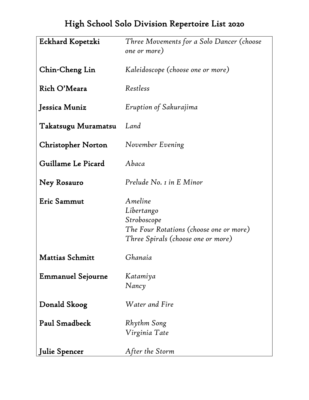## High School Solo Division Repertoire List 2020

| Eckhard Kopetzki          | Three Movements for a Solo Dancer (choose<br>one or more)                                                             |
|---------------------------|-----------------------------------------------------------------------------------------------------------------------|
| Chin-Cheng Lin            | Kaleidoscope (choose one or more)                                                                                     |
| Rich O'Meara              | Restless                                                                                                              |
| Jessica Muniz             | Eruption of Sakurajima                                                                                                |
| Takatsugu Muramatsu       | Land                                                                                                                  |
| <b>Christopher Norton</b> | November Evening                                                                                                      |
| Guillame Le Picard        | Abaca                                                                                                                 |
| Ney Rosauro               | Prelude No. 1 in E Minor                                                                                              |
| Eric Sammut               | Ameline<br>Libertango<br>Stroboscope<br>The Four Rotations (choose one or more)<br>Three Spirals (choose one or more) |
| <b>Mattias Schmitt</b>    | Ghanaia                                                                                                               |
| <b>Emmanuel Sejourne</b>  | Katamiya<br>Nancy                                                                                                     |
| Donald Skoog              | Water and Fire                                                                                                        |
| Paul Smadbeck             | Rhythm Song<br>Virginia Tate                                                                                          |
| <b>Julie Spencer</b>      | After the Storm                                                                                                       |